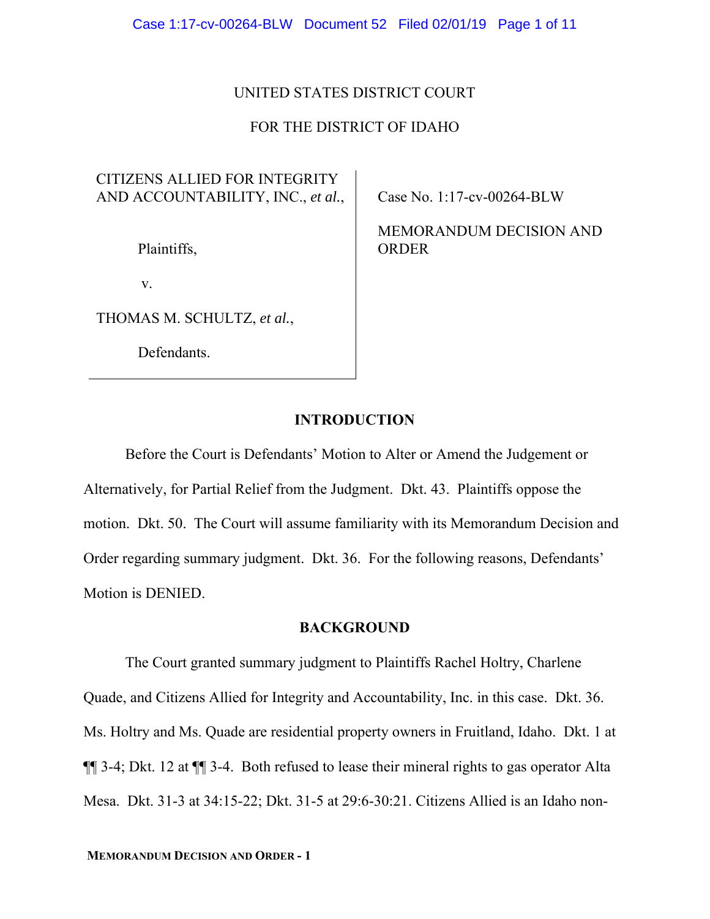## UNITED STATES DISTRICT COURT

# FOR THE DISTRICT OF IDAHO

# CITIZENS ALLIED FOR INTEGRITY AND ACCOUNTABILITY, INC., *et al.*,

Plaintiffs,

v.

THOMAS M. SCHULTZ, *et al.*,

Defendants.

Case No. 1:17-cv-00264-BLW

MEMORANDUM DECISION AND ORDER

## **INTRODUCTION**

Before the Court is Defendants' Motion to Alter or Amend the Judgement or Alternatively, for Partial Relief from the Judgment. Dkt. 43. Plaintiffs oppose the motion. Dkt. 50. The Court will assume familiarity with its Memorandum Decision and Order regarding summary judgment. Dkt. 36. For the following reasons, Defendants' Motion is DENIED.

## **BACKGROUND**

The Court granted summary judgment to Plaintiffs Rachel Holtry, Charlene Quade, and Citizens Allied for Integrity and Accountability, Inc. in this case. Dkt. 36. Ms. Holtry and Ms. Quade are residential property owners in Fruitland, Idaho. Dkt. 1 at ¶¶ 3-4; Dkt. 12 at ¶¶ 3-4. Both refused to lease their mineral rights to gas operator Alta Mesa. Dkt. 31-3 at 34:15-22; Dkt. 31-5 at 29:6-30:21. Citizens Allied is an Idaho non-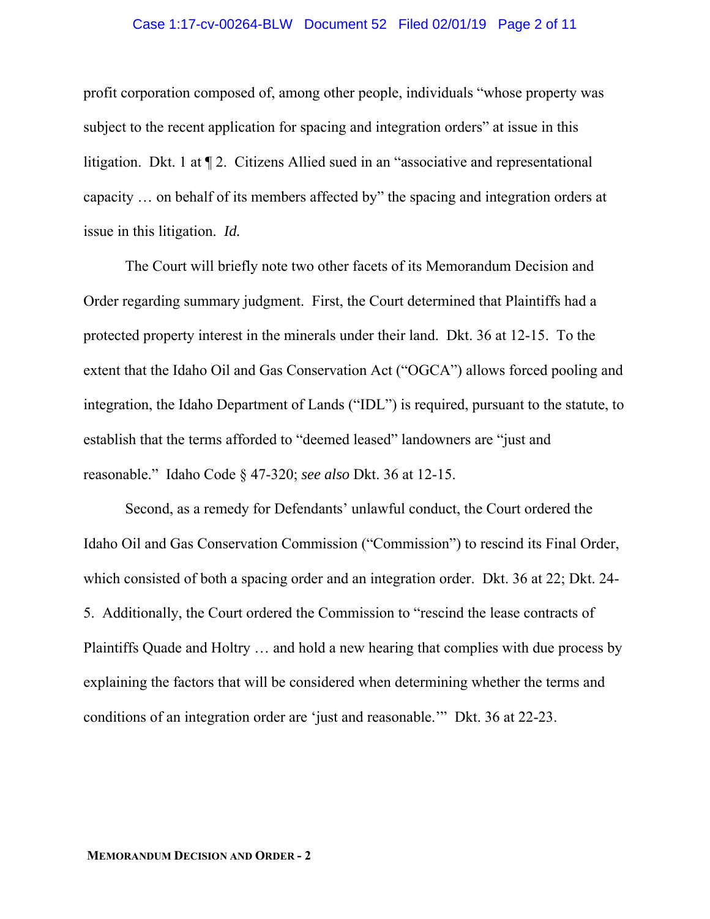#### Case 1:17-cv-00264-BLW Document 52 Filed 02/01/19 Page 2 of 11

profit corporation composed of, among other people, individuals "whose property was subject to the recent application for spacing and integration orders" at issue in this litigation. Dkt. 1 at ¶ 2. Citizens Allied sued in an "associative and representational capacity … on behalf of its members affected by" the spacing and integration orders at issue in this litigation. *Id.*

 The Court will briefly note two other facets of its Memorandum Decision and Order regarding summary judgment. First, the Court determined that Plaintiffs had a protected property interest in the minerals under their land. Dkt. 36 at 12-15. To the extent that the Idaho Oil and Gas Conservation Act ("OGCA") allows forced pooling and integration, the Idaho Department of Lands ("IDL") is required, pursuant to the statute, to establish that the terms afforded to "deemed leased" landowners are "just and reasonable." Idaho Code § 47-320; *see also* Dkt. 36 at 12-15.

 Second, as a remedy for Defendants' unlawful conduct, the Court ordered the Idaho Oil and Gas Conservation Commission ("Commission") to rescind its Final Order, which consisted of both a spacing order and an integration order. Dkt. 36 at 22; Dkt. 24- 5. Additionally, the Court ordered the Commission to "rescind the lease contracts of Plaintiffs Quade and Holtry … and hold a new hearing that complies with due process by explaining the factors that will be considered when determining whether the terms and conditions of an integration order are 'just and reasonable.'" Dkt. 36 at 22-23.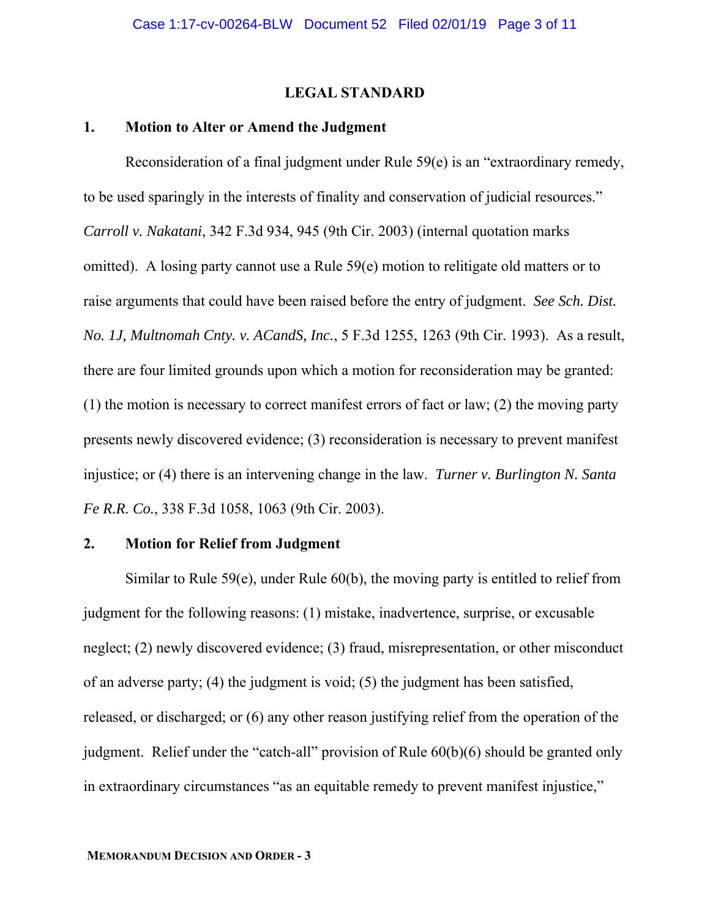### **LEGAL STANDARD**

### **1. Motion to Alter or Amend the Judgment**

Reconsideration of a final judgment under Rule 59(e) is an "extraordinary remedy, to be used sparingly in the interests of finality and conservation of judicial resources." *Carroll v. Nakatani*, 342 F.3d 934, 945 (9th Cir. 2003) (internal quotation marks omitted). A losing party cannot use a Rule 59(e) motion to relitigate old matters or to raise arguments that could have been raised before the entry of judgment. *See Sch. Dist. No. 1J, Multnomah Cnty. v. ACandS, Inc.*, 5 F.3d 1255, 1263 (9th Cir. 1993). As a result, there are four limited grounds upon which a motion for reconsideration may be granted: (1) the motion is necessary to correct manifest errors of fact or law; (2) the moving party presents newly discovered evidence; (3) reconsideration is necessary to prevent manifest injustice; or (4) there is an intervening change in the law. *Turner v. Burlington N. Santa Fe R.R. Co.*, 338 F.3d 1058, 1063 (9th Cir. 2003).

#### **2. Motion for Relief from Judgment**

Similar to Rule 59(e), under Rule 60(b), the moving party is entitled to relief from judgment for the following reasons: (1) mistake, inadvertence, surprise, or excusable neglect; (2) newly discovered evidence; (3) fraud, misrepresentation, or other misconduct of an adverse party; (4) the judgment is void; (5) the judgment has been satisfied, released, or discharged; or (6) any other reason justifying relief from the operation of the judgment. Relief under the "catch-all" provision of Rule 60(b)(6) should be granted only in extraordinary circumstances "as an equitable remedy to prevent manifest injustice,"

#### **MEMORANDUM DECISION AND ORDER - 3**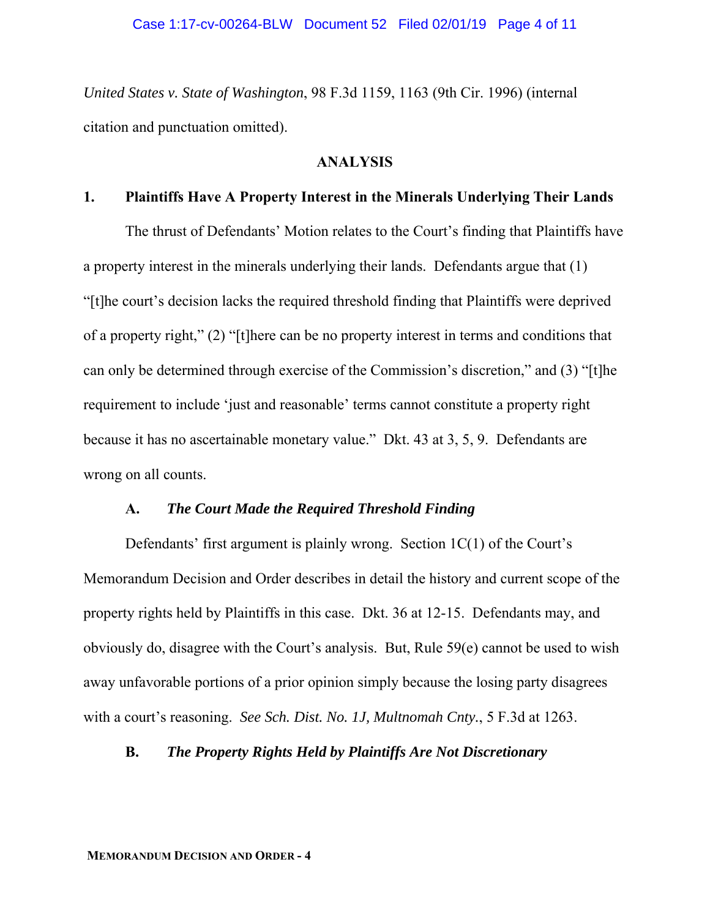*United States v. State of Washington*, 98 F.3d 1159, 1163 (9th Cir. 1996) (internal citation and punctuation omitted).

## **ANALYSIS**

### **1. Plaintiffs Have A Property Interest in the Minerals Underlying Their Lands**

 The thrust of Defendants' Motion relates to the Court's finding that Plaintiffs have a property interest in the minerals underlying their lands. Defendants argue that (1) "[t]he court's decision lacks the required threshold finding that Plaintiffs were deprived of a property right," (2) "[t]here can be no property interest in terms and conditions that can only be determined through exercise of the Commission's discretion," and (3) "[t]he requirement to include 'just and reasonable' terms cannot constitute a property right because it has no ascertainable monetary value." Dkt. 43 at 3, 5, 9. Defendants are wrong on all counts.

## **A.** *The Court Made the Required Threshold Finding*

Defendants' first argument is plainly wrong. Section  $1C(1)$  of the Court's Memorandum Decision and Order describes in detail the history and current scope of the property rights held by Plaintiffs in this case. Dkt. 36 at 12-15. Defendants may, and obviously do, disagree with the Court's analysis. But, Rule 59(e) cannot be used to wish away unfavorable portions of a prior opinion simply because the losing party disagrees with a court's reasoning. *See Sch. Dist. No. 1J, Multnomah Cnty.*, 5 F.3d at 1263.

## **B.** *The Property Rights Held by Plaintiffs Are Not Discretionary*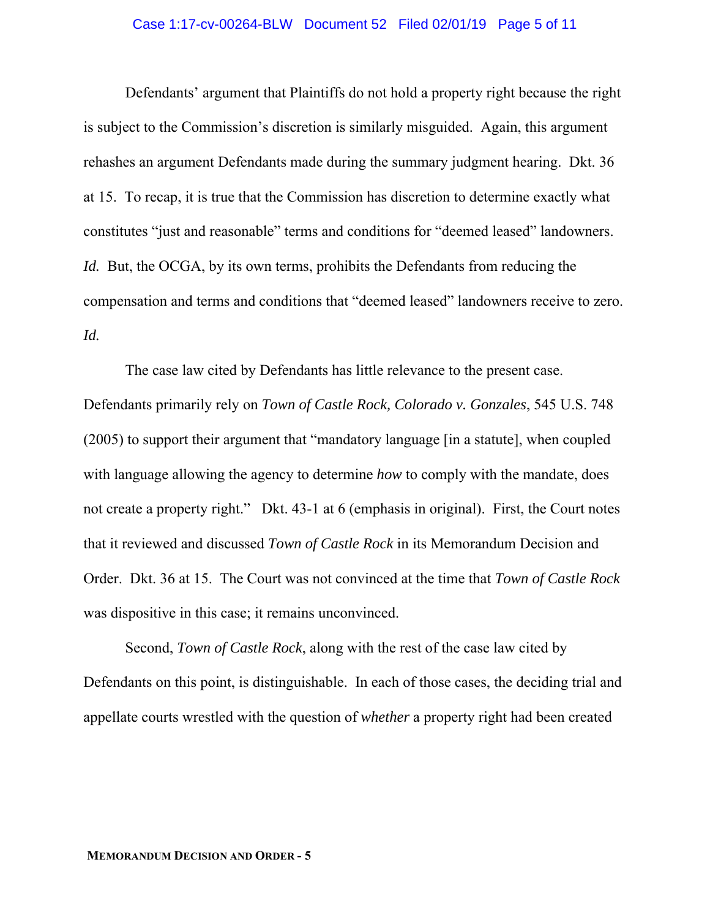#### Case 1:17-cv-00264-BLW Document 52 Filed 02/01/19 Page 5 of 11

Defendants' argument that Plaintiffs do not hold a property right because the right is subject to the Commission's discretion is similarly misguided. Again, this argument rehashes an argument Defendants made during the summary judgment hearing. Dkt. 36 at 15. To recap, it is true that the Commission has discretion to determine exactly what constitutes "just and reasonable" terms and conditions for "deemed leased" landowners. *Id.* But, the OCGA, by its own terms, prohibits the Defendants from reducing the compensation and terms and conditions that "deemed leased" landowners receive to zero. *Id.*

The case law cited by Defendants has little relevance to the present case. Defendants primarily rely on *Town of Castle Rock, Colorado v. Gonzales*, 545 U.S. 748 (2005) to support their argument that "mandatory language [in a statute], when coupled with language allowing the agency to determine *how* to comply with the mandate, does not create a property right." Dkt. 43-1 at 6 (emphasis in original). First, the Court notes that it reviewed and discussed *Town of Castle Rock* in its Memorandum Decision and Order. Dkt. 36 at 15. The Court was not convinced at the time that *Town of Castle Rock* was dispositive in this case; it remains unconvinced.

 Second, *Town of Castle Rock*, along with the rest of the case law cited by Defendants on this point, is distinguishable. In each of those cases, the deciding trial and appellate courts wrestled with the question of *whether* a property right had been created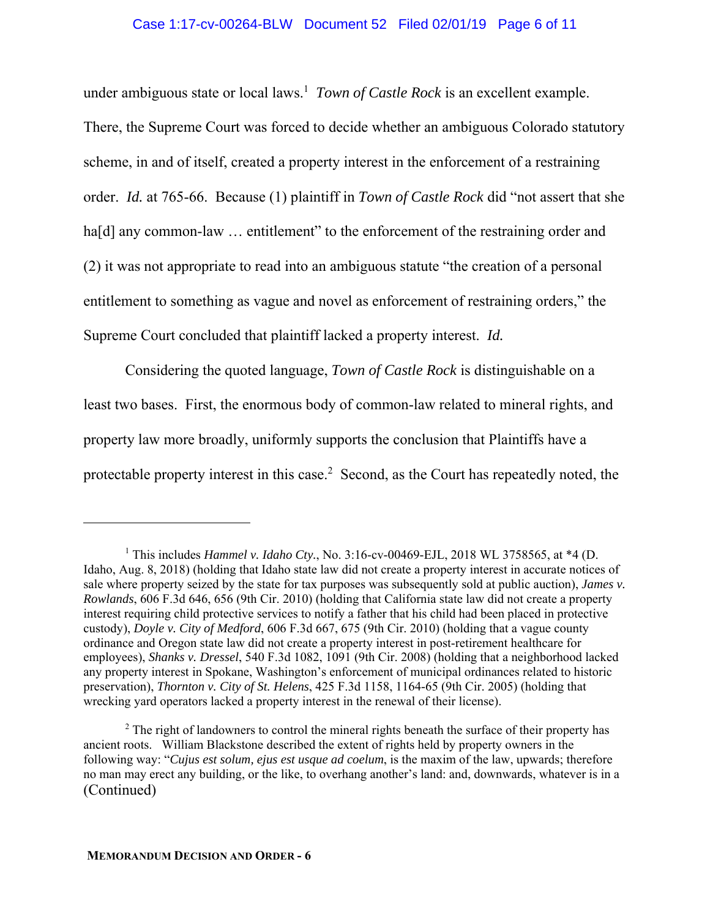### Case 1:17-cv-00264-BLW Document 52 Filed 02/01/19 Page 6 of 11

under ambiguous state or local laws.<sup>1</sup> *Town of Castle Rock* is an excellent example. There, the Supreme Court was forced to decide whether an ambiguous Colorado statutory scheme, in and of itself, created a property interest in the enforcement of a restraining order. *Id.* at 765-66. Because (1) plaintiff in *Town of Castle Rock* did "not assert that she ha[d] any common-law ... entitlement" to the enforcement of the restraining order and (2) it was not appropriate to read into an ambiguous statute "the creation of a personal entitlement to something as vague and novel as enforcement of restraining orders," the Supreme Court concluded that plaintiff lacked a property interest. *Id.*

 Considering the quoted language, *Town of Castle Rock* is distinguishable on a least two bases. First, the enormous body of common-law related to mineral rights, and property law more broadly, uniformly supports the conclusion that Plaintiffs have a protectable property interest in this case.<sup>2</sup> Second, as the Court has repeatedly noted, the

 $\overline{a}$ 

<sup>&</sup>lt;sup>1</sup> This includes *Hammel v. Idaho Cty.*, No. 3:16-cv-00469-EJL, 2018 WL 3758565, at \*4 (D. Idaho, Aug. 8, 2018) (holding that Idaho state law did not create a property interest in accurate notices of sale where property seized by the state for tax purposes was subsequently sold at public auction), *James v. Rowlands*, 606 F.3d 646, 656 (9th Cir. 2010) (holding that California state law did not create a property interest requiring child protective services to notify a father that his child had been placed in protective custody), *Doyle v. City of Medford*, 606 F.3d 667, 675 (9th Cir. 2010) (holding that a vague county ordinance and Oregon state law did not create a property interest in post-retirement healthcare for employees), *Shanks v. Dressel*, 540 F.3d 1082, 1091 (9th Cir. 2008) (holding that a neighborhood lacked any property interest in Spokane, Washington's enforcement of municipal ordinances related to historic preservation), *Thornton v. City of St. Helens*, 425 F.3d 1158, 1164-65 (9th Cir. 2005) (holding that wrecking yard operators lacked a property interest in the renewal of their license).

 $2^2$  The right of landowners to control the mineral rights beneath the surface of their property has ancient roots. William Blackstone described the extent of rights held by property owners in the following way: "*Cujus est solum, ejus est usque ad coelum*, is the maxim of the law, upwards; therefore no man may erect any building, or the like, to overhang another's land: and, downwards, whatever is in a (Continued)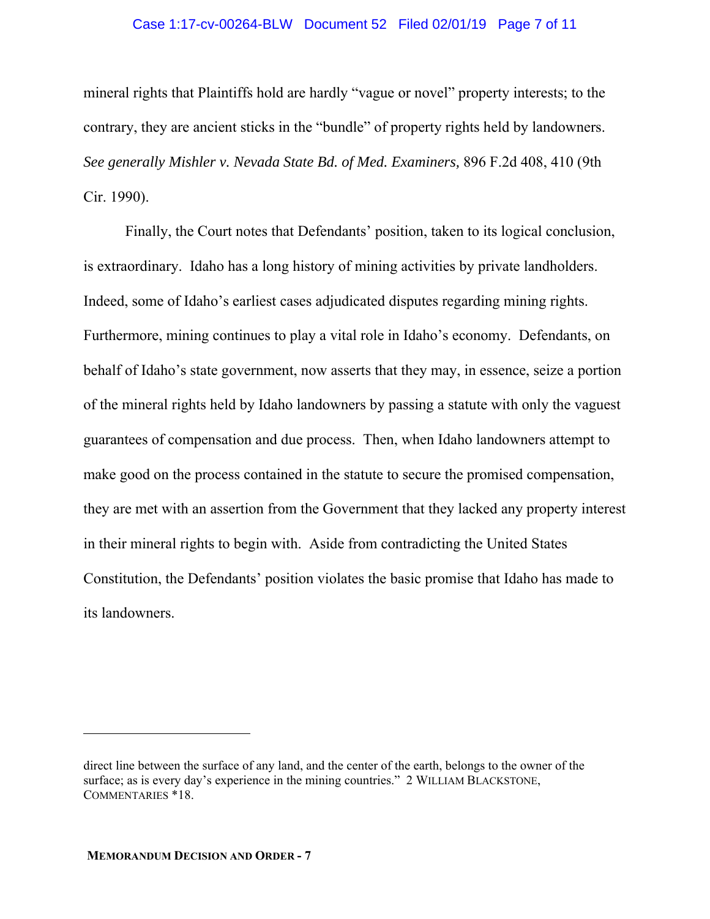#### Case 1:17-cv-00264-BLW Document 52 Filed 02/01/19 Page 7 of 11

mineral rights that Plaintiffs hold are hardly "vague or novel" property interests; to the contrary, they are ancient sticks in the "bundle" of property rights held by landowners. *See generally Mishler v. Nevada State Bd. of Med. Examiners,* 896 F.2d 408, 410 (9th Cir. 1990).

Finally, the Court notes that Defendants' position, taken to its logical conclusion, is extraordinary. Idaho has a long history of mining activities by private landholders. Indeed, some of Idaho's earliest cases adjudicated disputes regarding mining rights. Furthermore, mining continues to play a vital role in Idaho's economy. Defendants, on behalf of Idaho's state government, now asserts that they may, in essence, seize a portion of the mineral rights held by Idaho landowners by passing a statute with only the vaguest guarantees of compensation and due process. Then, when Idaho landowners attempt to make good on the process contained in the statute to secure the promised compensation, they are met with an assertion from the Government that they lacked any property interest in their mineral rights to begin with. Aside from contradicting the United States Constitution, the Defendants' position violates the basic promise that Idaho has made to its landowners.

direct line between the surface of any land, and the center of the earth, belongs to the owner of the surface; as is every day's experience in the mining countries." 2 WILLIAM BLACKSTONE, COMMENTARIES \*18.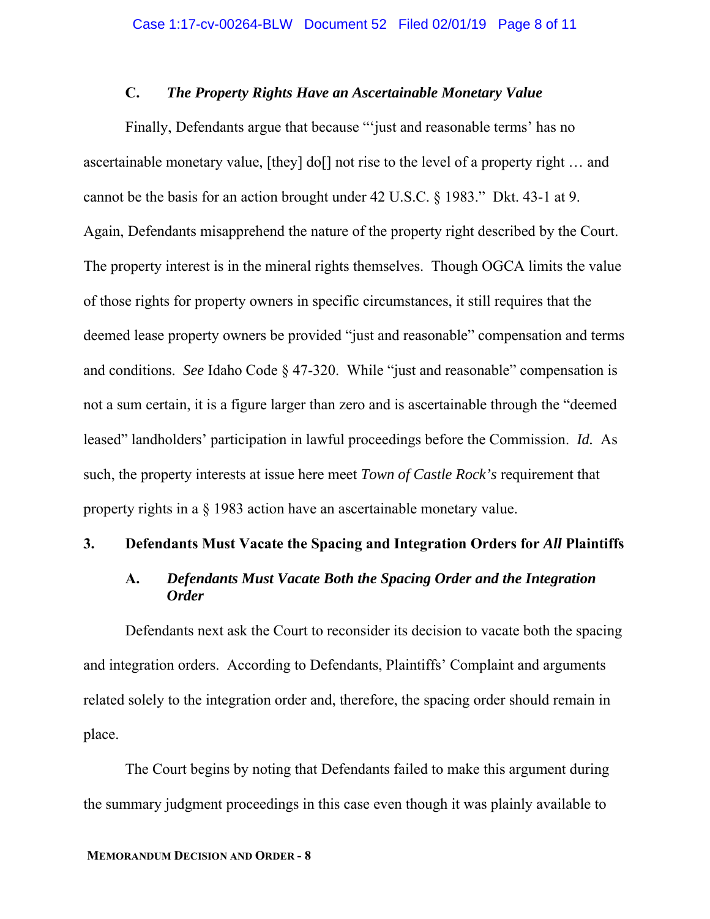### **C.** *The Property Rights Have an Ascertainable Monetary Value*

Finally, Defendants argue that because "'just and reasonable terms' has no ascertainable monetary value, [they] do[] not rise to the level of a property right … and cannot be the basis for an action brought under 42 U.S.C. § 1983." Dkt. 43-1 at 9. Again, Defendants misapprehend the nature of the property right described by the Court. The property interest is in the mineral rights themselves. Though OGCA limits the value of those rights for property owners in specific circumstances, it still requires that the deemed lease property owners be provided "just and reasonable" compensation and terms and conditions. *See* Idaho Code § 47-320. While "just and reasonable" compensation is not a sum certain, it is a figure larger than zero and is ascertainable through the "deemed leased" landholders' participation in lawful proceedings before the Commission. *Id.* As such, the property interests at issue here meet *Town of Castle Rock's* requirement that property rights in a § 1983 action have an ascertainable monetary value.

#### **3. Defendants Must Vacate the Spacing and Integration Orders for** *All* **Plaintiffs**

# **A.** *Defendants Must Vacate Both the Spacing Order and the Integration Order*

Defendants next ask the Court to reconsider its decision to vacate both the spacing and integration orders. According to Defendants, Plaintiffs' Complaint and arguments related solely to the integration order and, therefore, the spacing order should remain in place.

The Court begins by noting that Defendants failed to make this argument during the summary judgment proceedings in this case even though it was plainly available to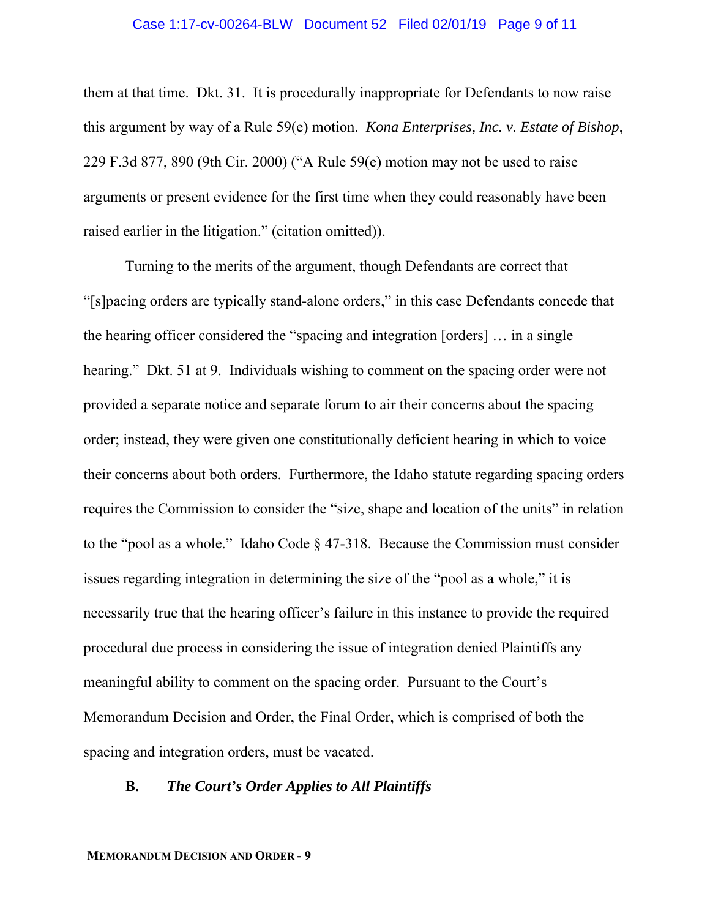#### Case 1:17-cv-00264-BLW Document 52 Filed 02/01/19 Page 9 of 11

them at that time. Dkt. 31. It is procedurally inappropriate for Defendants to now raise this argument by way of a Rule 59(e) motion. *Kona Enterprises, Inc. v. Estate of Bishop*, 229 F.3d 877, 890 (9th Cir. 2000) ("A Rule 59(e) motion may not be used to raise arguments or present evidence for the first time when they could reasonably have been raised earlier in the litigation." (citation omitted)).

Turning to the merits of the argument, though Defendants are correct that "[s]pacing orders are typically stand-alone orders," in this case Defendants concede that the hearing officer considered the "spacing and integration [orders] … in a single hearing." Dkt. 51 at 9. Individuals wishing to comment on the spacing order were not provided a separate notice and separate forum to air their concerns about the spacing order; instead, they were given one constitutionally deficient hearing in which to voice their concerns about both orders. Furthermore, the Idaho statute regarding spacing orders requires the Commission to consider the "size, shape and location of the units" in relation to the "pool as a whole." Idaho Code § 47-318. Because the Commission must consider issues regarding integration in determining the size of the "pool as a whole," it is necessarily true that the hearing officer's failure in this instance to provide the required procedural due process in considering the issue of integration denied Plaintiffs any meaningful ability to comment on the spacing order. Pursuant to the Court's Memorandum Decision and Order, the Final Order, which is comprised of both the spacing and integration orders, must be vacated.

#### **B.** *The Court's Order Applies to All Plaintiffs*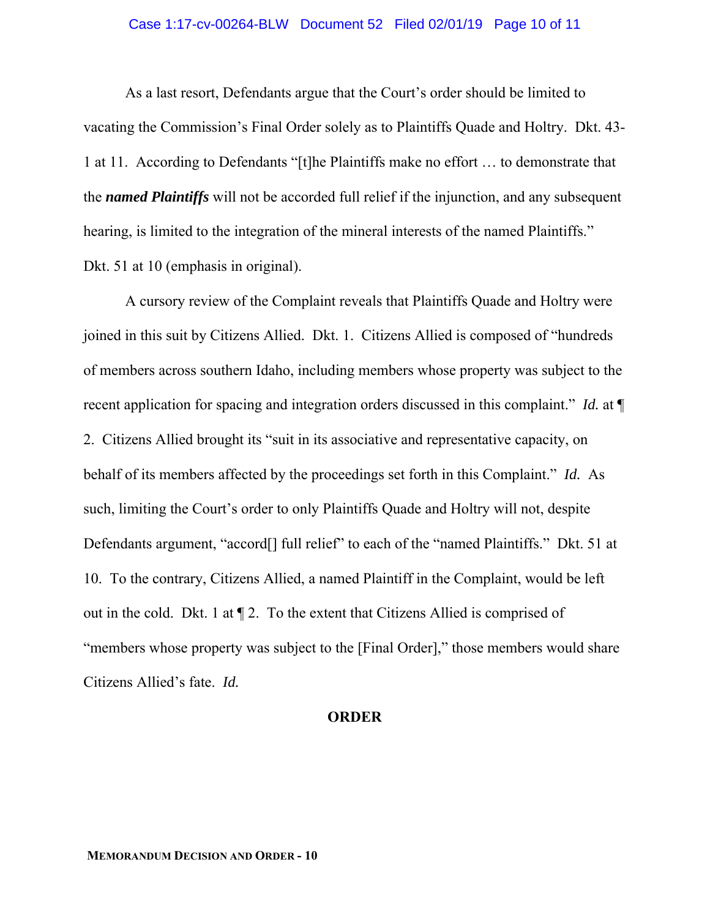#### Case 1:17-cv-00264-BLW Document 52 Filed 02/01/19 Page 10 of 11

As a last resort, Defendants argue that the Court's order should be limited to vacating the Commission's Final Order solely as to Plaintiffs Quade and Holtry. Dkt. 43- 1 at 11. According to Defendants "[t]he Plaintiffs make no effort … to demonstrate that the *named Plaintiffs* will not be accorded full relief if the injunction, and any subsequent hearing, is limited to the integration of the mineral interests of the named Plaintiffs." Dkt. 51 at 10 (emphasis in original).

A cursory review of the Complaint reveals that Plaintiffs Quade and Holtry were joined in this suit by Citizens Allied. Dkt. 1. Citizens Allied is composed of "hundreds of members across southern Idaho, including members whose property was subject to the recent application for spacing and integration orders discussed in this complaint." *Id.* at ¶ 2. Citizens Allied brought its "suit in its associative and representative capacity, on behalf of its members affected by the proceedings set forth in this Complaint." *Id.* As such, limiting the Court's order to only Plaintiffs Quade and Holtry will not, despite Defendants argument, "accord<sup>[]</sup> full relief" to each of the "named Plaintiffs." Dkt. 51 at 10. To the contrary, Citizens Allied, a named Plaintiff in the Complaint, would be left out in the cold. Dkt. 1 at ¶ 2. To the extent that Citizens Allied is comprised of "members whose property was subject to the [Final Order]," those members would share Citizens Allied's fate. *Id.* 

# **ORDER**